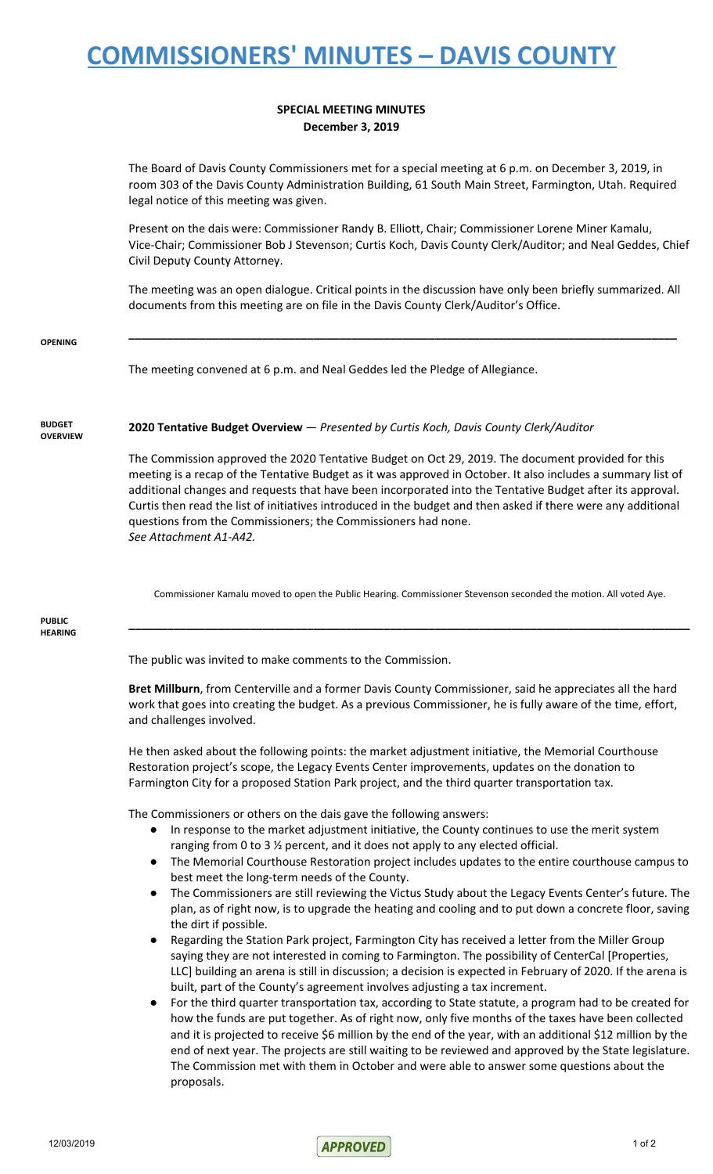## **COMMISSIONERS' MINUTES – DAVIS COUNTY**

## **SPECIAL MEETING MINUTES December 3, 2019**

The Board of Davis County Commissioners met for a special meeting at 6 p.m. on December 3, 2019, in room 303 of the Davis County Administration Building, 61 South Main Street, Farmington, Utah. Required legal notice of this meeting was given.

Present on the dais were: Commissioner Randy B. Elliott, Chair; Commissioner Lorene Miner Kamalu, Vice-Chair; Commissioner Bob J Stevenson; Curtis Koch, Davis County Clerk/Auditor; and Neal Geddes, Chief Civil Deputy County Attorney.

The meeting was an open dialogue. Critical points in the discussion have only been briefly summarized. All documents from this meeting are on file in the Davis County Clerk/Auditor's Office.

**\_\_\_\_\_\_\_\_\_\_\_\_\_\_\_\_\_\_\_\_\_\_\_\_\_\_\_\_\_\_\_\_\_\_\_\_\_\_\_\_\_\_\_\_\_\_\_\_\_\_\_\_\_\_\_\_\_\_\_\_\_\_\_\_\_\_\_\_\_\_\_\_\_\_\_\_\_\_\_\_\_\_\_\_\_\_**

**OPENING**

The meeting convened at 6 p.m. and Neal Geddes led the Pledge of Allegiance.

**BUDGET OVERVIEW** **2020 Tentative Budget Overview** — *Presented by Curtis Koch, Davis County Clerk/Auditor*

The Commission approved the 2020 Tentative Budget on Oct 29, 2019. The document provided for this meeting is a recap of the Tentative Budget as it was approved in October. It also includes a summary list of additional changes and requests that have been incorporated into the Tentative Budget after its approval. Curtis then read the list of initiatives introduced in the budget and then asked if there were any additional questions from the Commissioners; the Commissioners had none. *See Attachment A1-A42.*

Commissioner Kamalu moved to open the Public Hearing. Commissioner Stevenson seconded the motion. All voted Aye.

**\_\_\_\_\_\_\_\_\_\_\_\_\_\_\_\_\_\_\_\_\_\_\_\_\_\_\_\_\_\_\_\_\_\_\_\_\_\_\_\_\_\_\_\_\_\_\_\_\_\_\_\_\_\_\_\_\_\_\_\_\_\_\_\_\_\_\_\_\_\_\_\_\_\_\_\_\_\_\_\_\_\_\_\_\_\_\_\_**

**PUBLIC HEARING**

The public was invited to make comments to the Commission.

**Bret Millburn**, from Centerville and a former Davis County Commissioner, said he appreciates all the hard work that goes into creating the budget. As a previous Commissioner, he is fully aware of the time, effort, and challenges involved.

He then asked about the following points: the market adjustment initiative, the Memorial Courthouse Restoration project's scope, the Legacy Events Center improvements, updates on the donation to Farmington City for a proposed Station Park project, and the third quarter transportation tax.

The Commissioners or others on the dais gave the following answers:

- In response to the market adjustment initiative, the County continues to use the merit system ranging from 0 to 3 ½ percent, and it does not apply to any elected official.
- The Memorial Courthouse Restoration project includes updates to the entire courthouse campus to best meet the long-term needs of the County.
- The Commissioners are still reviewing the Victus Study about the Legacy Events Center's future. The plan, as of right now, is to upgrade the heating and cooling and to put down a concrete floor, saving the dirt if possible.
- Regarding the Station Park project, Farmington City has received a letter from the Miller Group saying they are not interested in coming to Farmington. The possibility of CenterCal [Properties, LLC] building an arena is still in discussion; a decision is expected in February of 2020. If the arena is built, part of the County's agreement involves adjusting a tax increment.
- For the third quarter transportation tax, according to State statute, a program had to be created for how the funds are put together. As of right now, only five months of the taxes have been collected and it is projected to receive \$6 million by the end of the year, with an additional \$12 million by the end of next year. The projects are still waiting to be reviewed and approved by the State legislature. The Commission met with them in October and were able to answer some questions about the proposals.